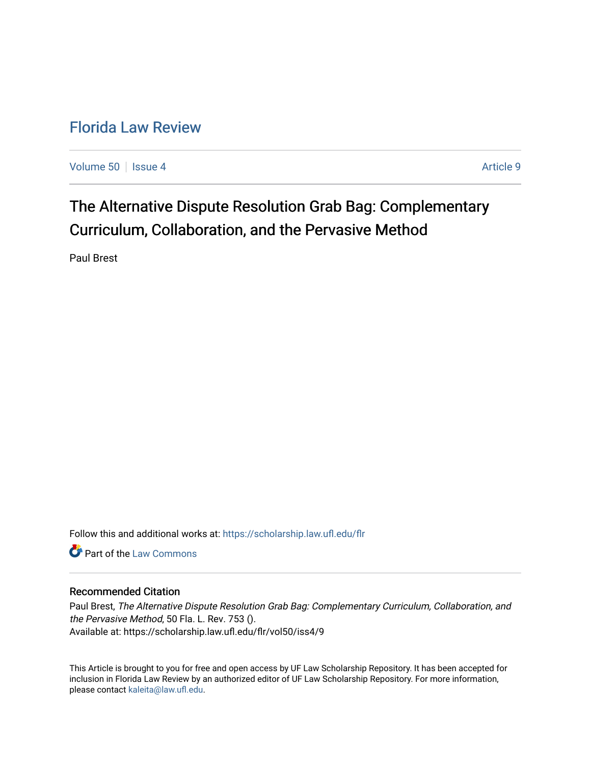# [Florida Law Review](https://scholarship.law.ufl.edu/flr)

[Volume 50](https://scholarship.law.ufl.edu/flr/vol50) | [Issue 4](https://scholarship.law.ufl.edu/flr/vol50/iss4) Article 9

The Alternative Dispute Resolution Grab Bag: Complementary Curriculum, Collaboration, and the Pervasive Method

Paul Brest

Follow this and additional works at: [https://scholarship.law.ufl.edu/flr](https://scholarship.law.ufl.edu/flr?utm_source=scholarship.law.ufl.edu%2Fflr%2Fvol50%2Fiss4%2F9&utm_medium=PDF&utm_campaign=PDFCoverPages)

**C** Part of the [Law Commons](http://network.bepress.com/hgg/discipline/578?utm_source=scholarship.law.ufl.edu%2Fflr%2Fvol50%2Fiss4%2F9&utm_medium=PDF&utm_campaign=PDFCoverPages)

#### Recommended Citation

Paul Brest, The Alternative Dispute Resolution Grab Bag: Complementary Curriculum, Collaboration, and the Pervasive Method, 50 Fla. L. Rev. 753 (). Available at: https://scholarship.law.ufl.edu/flr/vol50/iss4/9

This Article is brought to you for free and open access by UF Law Scholarship Repository. It has been accepted for inclusion in Florida Law Review by an authorized editor of UF Law Scholarship Repository. For more information, please contact [kaleita@law.ufl.edu](mailto:kaleita@law.ufl.edu).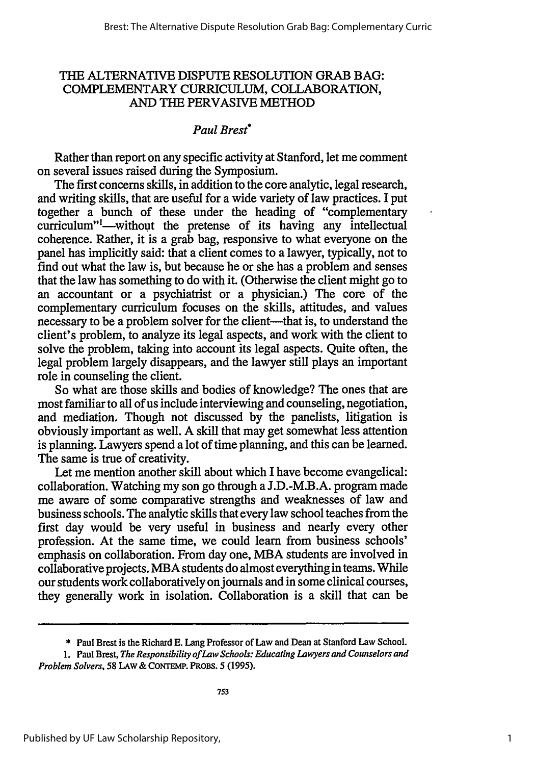### THE ALTERNATIVE DISPUTE RESOLUTION GRAB BAG: COMPLEMENTARY CURRICULUM, COLLABORATION, AND THE PERVASIVE METHOD

## *Paul Brest\**

Rather than report on any specific activity at Stanford, let me comment on several issues raised during the Symposium.

The first concerns skills, in addition to the core analytic, legal research, and writing skills, that are useful for a wide variety of law practices. I put together a bunch of these under the heading of "complementary curriculum"<sup>1</sup>—without the pretense of its having any intellectual coherence. Rather, it is a grab bag, responsive to what everyone on the panel has implicitly said: that a client comes to a lawyer, typically, not to find out what the law is, but because he or she has a problem and senses that the law has something to do with it. (Otherwise the client might go to an accountant or a psychiatrist or a physician.) The core of the complementary curriculum focuses on the skills, attitudes, and values necessary to be a problem solver for the client—that is, to understand the client's problem, to analyze its legal aspects, and work with the client to solve the problem, taking into account its legal aspects. Quite often, the legal problem largely disappears, and the lawyer still plays an important role in counseling the client.

So what are those skills and bodies of knowledge? The ones that are most familiar to all of us include interviewing and counseling, negotiation, and mediation. Though not discussed **by** the panelists, litigation is obviously important as well. **A** skill that may get somewhat less attention is planning. Lawyers spend a lot of time planning, and this can be learned. The same is true of creativity.

Let me mention another skill about which I have become evangelical: collaboration. Watching my son go through a J.D.-M.B.A. program made me aware of some comparative strengths and weaknesses of law and business schools. The analytic skills that every law school teaches from the first day would be very useful in business and nearly every other profession. At the same time, we could learn from business schools' emphasis on collaboration. From day one, *MBA* students are involved in collaborative projects. MBA students do almost everything in teams. While our students work collaboratively on journals and in some clinical courses, they generally work in isolation. Collaboration is a skill that can be

<sup>\*</sup> Paul Brest is the Richard E. Lang Professor of Law and Dean at Stanford Law School.

**<sup>1.</sup>** Paul Brest, *The Responsibility of Law Schools: Educating Lawyers and Counselors and Problem Solvers,* **58 LAW &** CONTEwP. PROBs. **5 (1995).**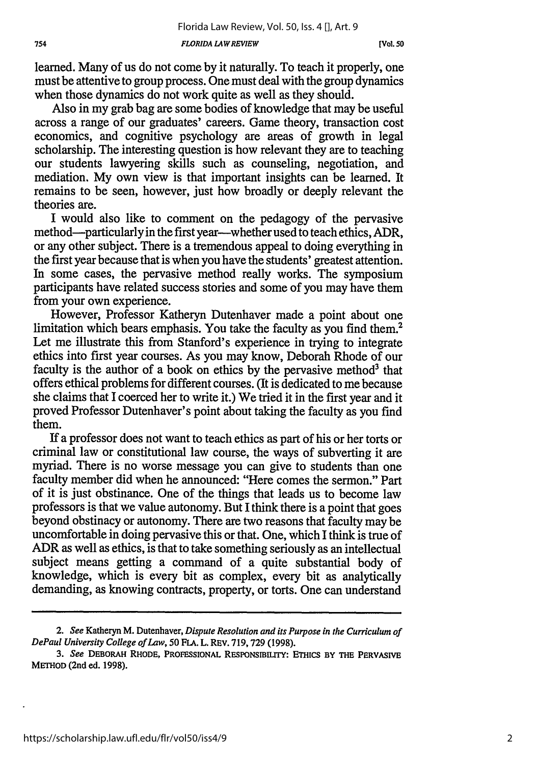learned. Many of us do not come by it naturally. To teach it properly, one must be attentive to group process. One must deal with the group dynamics when those dynamics do not work quite as well as they should.

Also in my grab bag are some bodies of knowledge that may be useful across a range of our graduates' careers. Game theory, transaction cost economics, and cognitive psychology are areas of growth in legal scholarship. The interesting question is how relevant they are to teaching our students lawyering skills such as counseling, negotiation, and mediation. My own view is that important insights can be learned. It remains to be seen, however, just how broadly or deeply relevant the theories are.

I would also like to comment on the pedagogy of the pervasive method—particularly in the first year—whether used to teach ethics, ADR, or any other subject. There is a tremendous appeal to doing everything in the first year because that is when you have the students' greatest attention. In some cases, the pervasive method really works. The symposium participants have related success stories and some of you may have them from your own experience.

However, Professor Katheryn Dutenhaver made a point about one limitation which bears emphasis. You take the faculty as you find them.<sup>2</sup> Let me illustrate this from Stanford's experience in trying to integrate ethics into first year courses. As you may know, Deborah Rhode of our faculty is the author of a book on ethics by the pervasive method<sup>3</sup> that offers ethical problems for different courses. (It is dedicated to me because she claims that I coerced her to write it.) We tried it in the first year and it proved Professor Dutenhaver's point about taking the faculty as you find them.

If a professor does not want to teach ethics as part of his or her torts or criminal law or constitutional law course, the ways of subverting it are myriad. There is no worse message you can give to students than one faculty member did when he announced: "Here comes the sermon." Part of it is just obstinance. One of the things that leads us to become law professors is that we value autonomy. But I think there is a point that goes beyond obstinacy or autonomy. There are two reasons that faculty may be uncomfortable in doing pervasive this or that. One, which I think is true of ADR as well as ethics, is that to take something seriously as an intellectual subject means getting a command of a quite substantial body of knowledge, which is every bit as complex, every bit as analytically demanding, as knowing contracts, property, or torts. One can understand

*<sup>2.</sup> See* Katheryn M. Dutenhaver, *Dispute Resolution and its Purpose in the Curriculum of DePaul University College of Law, 50* FLA. L. REV. 719,729 (1998).

*<sup>3.</sup> See* **DEBORAH RHODE, PROFESSIONAL RESPONSIBILITY: ETHICS BY THE PERVASIVE METHOD (2nd ed. 1998).**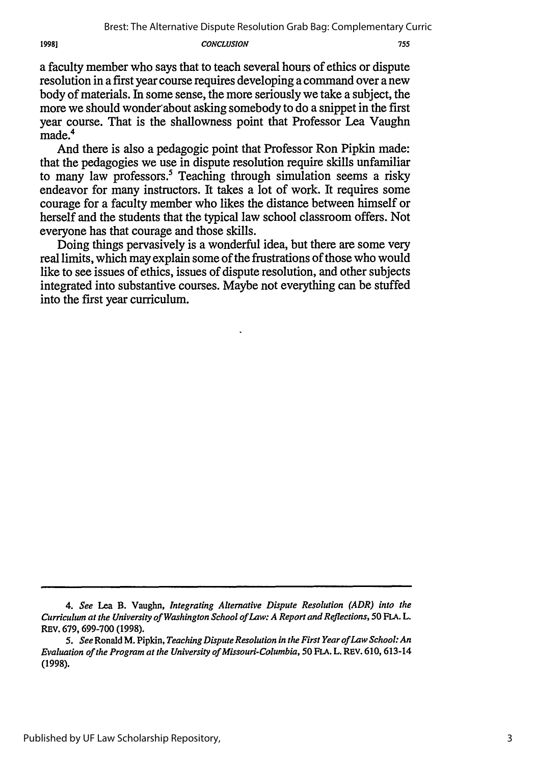19981

#### *CONCLUSION*

a faculty member who says that to teach several hours of ethics or dispute resolution in a first year course requires developing a command over a new body of materials. In some sense, the more seriously we take a subject, the more we should wonder about asking somebody to do a snippet in the first year course. That is the shallowness point that Professor Lea Vaughn made.

And there is also a pedagogic point that Professor Ron Pipkin made: that the pedagogies we use in dispute resolution require skills unfamiliar to many law professors.<sup>5</sup> Teaching through simulation seems a risky endeavor for many instructors. It takes a lot of work. It requires some courage for a faculty member who likes the distance between himself or herself and the students that the typical law school classroom offers. Not everyone has that courage and those skills.

Doing things pervasively is a wonderful idea, but there are some very real limits, which may explain some of the frustrations of those who would like to see issues of ethics, issues of dispute resolution, and other subjects integrated into substantive courses. Maybe not everything can be stuffed into the first year curriculum.

*<sup>4.</sup> See* Lea B. Vaughn, *Integrating Alternative Dispute Resolution (ADR) into the Curriculum at the University of Washington School of Law: A Report and Reflections, 50* FLA. L. REv. 679, 699-700 (1998).

*<sup>5.</sup> See* Ronald M. Pipkin, *Teaching Dispute Resolution in the First Year of Law School: An Evaluation of the Program at the University of Missouri-Columbia, 50* **FLA.** L. REV. 610, 613-14 (1998).